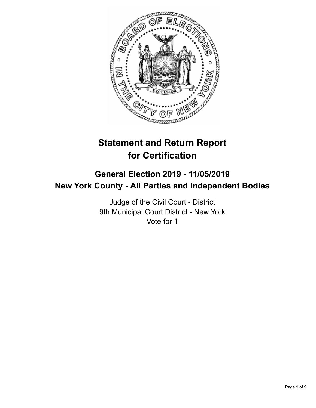

# **Statement and Return Report for Certification**

# **General Election 2019 - 11/05/2019 New York County - All Parties and Independent Bodies**

Judge of the Civil Court - District 9th Municipal Court District - New York Vote for 1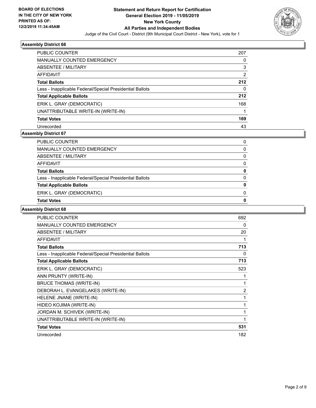

| <b>PUBLIC COUNTER</b>                                    | 207            |
|----------------------------------------------------------|----------------|
| <b>MANUALLY COUNTED EMERGENCY</b>                        | 0              |
| ABSENTEE / MILITARY                                      | 3              |
| AFFIDAVIT                                                | $\overline{2}$ |
| <b>Total Ballots</b>                                     | 212            |
| Less - Inapplicable Federal/Special Presidential Ballots | 0              |
| <b>Total Applicable Ballots</b>                          | 212            |
| ERIK L. GRAY (DEMOCRATIC)                                | 168            |
| UNATTRIBUTABLE WRITE-IN (WRITE-IN)                       |                |
| <b>Total Votes</b>                                       | 169            |
| Unrecorded                                               | 43             |

### **Assembly District 67**

| <b>Total Ballots</b>                                     | 0            |
|----------------------------------------------------------|--------------|
| Less - Inapplicable Federal/Special Presidential Ballots | $\mathbf{0}$ |
| <b>Total Applicable Ballots</b>                          | 0            |
|                                                          |              |
| ERIK L. GRAY (DEMOCRATIC)                                | 0            |
| <b>Total Votes</b>                                       | 0            |
|                                                          |              |

| PUBLIC COUNTER                                           | 692            |
|----------------------------------------------------------|----------------|
| <b>MANUALLY COUNTED EMERGENCY</b>                        | 0              |
| <b>ABSENTEE / MILITARY</b>                               | 20             |
| <b>AFFIDAVIT</b>                                         | 1              |
| <b>Total Ballots</b>                                     | 713            |
| Less - Inapplicable Federal/Special Presidential Ballots | 0              |
| <b>Total Applicable Ballots</b>                          | 713            |
| ERIK L. GRAY (DEMOCRATIC)                                | 523            |
| ANN PRUNTY (WRITE-IN)                                    | 1              |
| <b>BRUCE THOMAS (WRITE-IN)</b>                           | 1              |
| DEBORAH L. EVANGELAKES (WRITE-IN)                        | $\overline{2}$ |
| HELENE JNANE (WRITE-IN)                                  | 1              |
| HIDEO KOJIMA (WRITE-IN)                                  | 1              |
| JORDAN M. SCHIVEK (WRITE-IN)                             | 1              |
| UNATTRIBUTABLE WRITE-IN (WRITE-IN)                       | 1              |
| <b>Total Votes</b>                                       | 531            |
| Unrecorded                                               | 182            |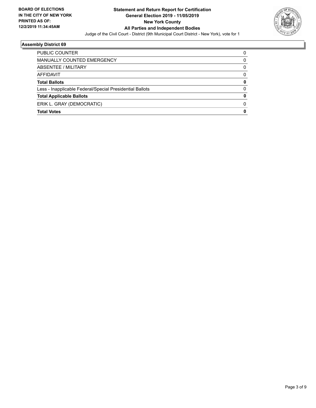

| PUBLIC COUNTER                                           |   |
|----------------------------------------------------------|---|
| MANUALLY COUNTED EMERGENCY                               | 0 |
| <b>ABSENTEE / MILITARY</b>                               | 0 |
| AFFIDAVIT                                                | 0 |
| <b>Total Ballots</b>                                     | 0 |
| Less - Inapplicable Federal/Special Presidential Ballots | 0 |
| <b>Total Applicable Ballots</b>                          | 0 |
| ERIK L. GRAY (DEMOCRATIC)                                | 0 |
| <b>Total Votes</b>                                       | 0 |
|                                                          |   |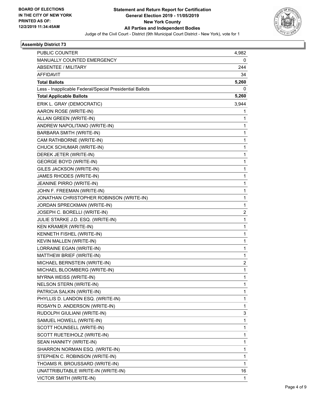

| PUBLIC COUNTER                                           | 4,982          |
|----------------------------------------------------------|----------------|
| MANUALLY COUNTED EMERGENCY                               | 0              |
| <b>ABSENTEE / MILITARY</b>                               | 244            |
| <b>AFFIDAVIT</b>                                         | 34             |
| <b>Total Ballots</b>                                     | 5,260          |
| Less - Inapplicable Federal/Special Presidential Ballots | 0              |
| <b>Total Applicable Ballots</b>                          | 5,260          |
| ERIK L. GRAY (DEMOCRATIC)                                | 3,944          |
| AARON ROSE (WRITE-IN)                                    | 1              |
| ALLAN GREEN (WRITE-IN)                                   | 1              |
| ANDREW NAPOLITANO (WRITE-IN)                             | 1              |
| BARBARA SMITH (WRITE-IN)                                 | 1              |
| CAM RATHBORNE (WRITE-IN)                                 | 1              |
| CHUCK SCHUMAR (WRITE-IN)                                 | 1              |
| DEREK JETER (WRITE-IN)                                   | 1              |
| <b>GEORGE BOYD (WRITE-IN)</b>                            | 1              |
| GILES JACKSON (WRITE-IN)                                 | 1              |
| JAMES RHODES (WRITE-IN)                                  | 1              |
| JEANINE PIRRO (WRITE-IN)                                 | 1              |
| JOHN F. FREEMAN (WRITE-IN)                               | 1              |
| JONATHAN CHRISTOPHER ROBINSON (WRITE-IN)                 | 1              |
| JORDAN SPRECKMAN (WRITE-IN)                              | 1              |
| JOSEPH C. BORELLI (WRITE-IN)                             | $\overline{2}$ |
| JULIE STARKE J.D. ESQ. (WRITE-IN)                        | 1              |
| KEN KRAMER (WRITE-IN)                                    | 1              |
| KENNETH FISHEL (WRITE-IN)                                | 1              |
| KEVIN MALLEN (WRITE-IN)                                  | 1              |
| LORRAINE EGAN (WRITE-IN)                                 | 1              |
| MATTHEW BRIEF (WRITE-IN)                                 | 1              |
| MICHAEL BERNSTEIN (WRITE-IN)                             | 2              |
| MICHAEL BLOOMBERG (WRITE-IN)                             | $\mathbf{1}$   |
| <b>MYRNA WEISS (WRITE-IN)</b>                            | 1              |
| NELSON STERN (WRITE-IN)                                  | 1              |
| PATRICIA SALKIN (WRITE-IN)                               | 1              |
| PHYLLIS D. LANDON ESQ. (WRITE-IN)                        | 1              |
| ROSAYN D. ANDERSON (WRITE-IN)                            | 1              |
| RUDOLPH GIULIANI (WRITE-IN)                              | 3              |
| SAMUEL HOWELL (WRITE-IN)                                 | 1              |
| SCOTT HOUNSELL (WRITE-IN)                                | 1              |
| SCOTT RUETEIHOLZ (WRITE-IN)                              | $\mathbf{1}$   |
| SEAN HANNITY (WRITE-IN)                                  | 1              |
| SHARRON NORMAN ESQ. (WRITE-IN)                           | 1              |
| STEPHEN C. ROBINSON (WRITE-IN)                           | 1              |
| THOAMS R. BROUSSARD (WRITE-IN)                           | 1              |
| UNATTRIBUTABLE WRITE-IN (WRITE-IN)                       | 16             |
| VICTOR SMITH (WRITE-IN)                                  | $\mathbf{1}$   |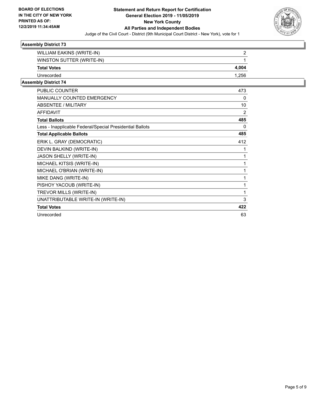

| WILLIAM EAKINS (WRITE-IN) |       |
|---------------------------|-------|
| WINSTON SUTTER (WRITE-IN) |       |
| <b>Total Votes</b>        | 4,004 |
| Unrecorded                | 1,256 |
| . <u>.</u> .              |       |

| <b>PUBLIC COUNTER</b>                                    | 473 |
|----------------------------------------------------------|-----|
| <b>MANUALLY COUNTED EMERGENCY</b>                        | 0   |
| ABSENTEE / MILITARY                                      | 10  |
| <b>AFFIDAVIT</b>                                         | 2   |
| <b>Total Ballots</b>                                     | 485 |
| Less - Inapplicable Federal/Special Presidential Ballots | 0   |
| <b>Total Applicable Ballots</b>                          | 485 |
| ERIK L. GRAY (DEMOCRATIC)                                | 412 |
| DEVIN BALKIND (WRITE-IN)                                 | 1   |
| <b>JASON SHELLY (WRITE-IN)</b>                           | 1   |
| MICHAEL KITSIS (WRITE-IN)                                | 1   |
| MICHAEL O'BRIAN (WRITE-IN)                               | 1   |
| MIKE DANG (WRITE-IN)                                     | 1   |
| PISHOY YACOUB (WRITE-IN)                                 | 1   |
| TREVOR MILLS (WRITE-IN)                                  | 1   |
| UNATTRIBUTABLE WRITE-IN (WRITE-IN)                       | 3   |
| <b>Total Votes</b>                                       | 422 |
| Unrecorded                                               | 63  |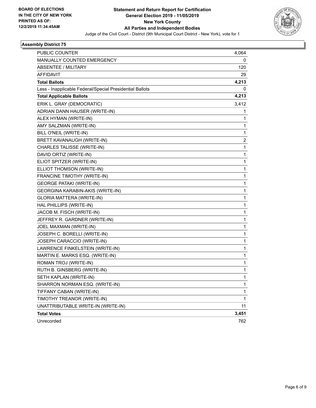

| <b>PUBLIC COUNTER</b>                                    | 4,064                   |
|----------------------------------------------------------|-------------------------|
| MANUALLY COUNTED EMERGENCY                               | 0                       |
| <b>ABSENTEE / MILITARY</b>                               | 120                     |
| AFFIDAVIT                                                | 29                      |
| <b>Total Ballots</b>                                     | 4,213                   |
| Less - Inapplicable Federal/Special Presidential Ballots | 0                       |
| <b>Total Applicable Ballots</b>                          | 4,213                   |
| ERIK L. GRAY (DEMOCRATIC)                                | 3,412                   |
| ADRIAN DANN HAUSER (WRITE-IN)                            | 1                       |
| ALEX HYMAN (WRITE-IN)                                    | 1                       |
| AMY SALZMAN (WRITE-IN)                                   | 1                       |
| BILL O'NEIL (WRITE-IN)                                   | 1                       |
| BRETT KAVANAUGH (WRITE-IN)                               | $\overline{\mathbf{c}}$ |
| CHARLES TALISSE (WRITE-IN)                               | 1                       |
| DAVID ORTIZ (WRITE-IN)                                   | 1                       |
| ELIOT SPITZER (WRITE-IN)                                 | 1                       |
| ELLIOT THOMSON (WRITE-IN)                                | 1                       |
| FRANCINE TIMOTHY (WRITE-IN)                              | 1                       |
| <b>GEORGE PATAKI (WRITE-IN)</b>                          | 1                       |
| GEORGINA KARABIN-AKIS (WRITE-IN)                         | 1                       |
| <b>GLORIA MATTERA (WRITE-IN)</b>                         | 1                       |
| HAL PHILLIPS (WRITE-IN)                                  | 1                       |
| JACOB M. FISCH (WRITE-IN)                                | 1                       |
| JEFFREY R. GARDNER (WRITE-IN)                            | 1                       |
| JOEL MAXMAN (WRITE-IN)                                   | 1                       |
| JOSEPH C. BORELLI (WRITE-IN)                             | 1                       |
| JOSEPH CARACCIO (WRITE-IN)                               | 1                       |
| LAWRENCE FINKELSTEIN (WRITE-IN)                          | 1                       |
| MARTIN E. MARKS ESQ. (WRITE-IN)                          | 1                       |
| ROMAN TROJ (WRITE-IN)                                    | 1                       |
| RUTH B. GINSBERG (WRITE-IN)                              | 1                       |
| SETH KAPLAN (WRITE-IN)                                   | 1                       |
| SHARRON NORMAN ESQ. (WRITE-IN)                           | 1                       |
| TIFFANY CABAN (WRITE-IN)                                 | 1                       |
| TIMOTHY TREANOR (WRITE-IN)                               | $\mathbf{1}$            |
| UNATTRIBUTABLE WRITE-IN (WRITE-IN)                       | 11                      |
| <b>Total Votes</b>                                       | 3,451                   |
| Unrecorded                                               | 762                     |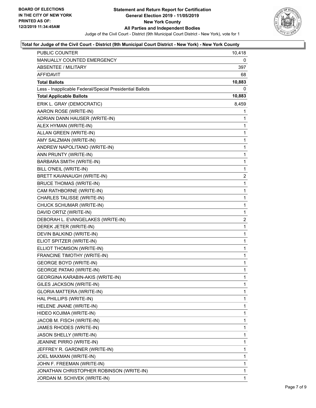

### **Total for Judge of the Civil Court - District (9th Municipal Court District - New York) - New York County**

| PUBLIC COUNTER                                           | 10,418         |
|----------------------------------------------------------|----------------|
| MANUALLY COUNTED EMERGENCY                               | 0              |
| <b>ABSENTEE / MILITARY</b>                               | 397            |
| AFFIDAVIT                                                | 68             |
| <b>Total Ballots</b>                                     | 10,883         |
| Less - Inapplicable Federal/Special Presidential Ballots | 0              |
| <b>Total Applicable Ballots</b>                          | 10,883         |
| ERIK L. GRAY (DEMOCRATIC)                                | 8,459          |
| AARON ROSE (WRITE-IN)                                    | 1              |
| ADRIAN DANN HAUSER (WRITE-IN)                            | 1              |
| ALEX HYMAN (WRITE-IN)                                    | 1              |
| ALLAN GREEN (WRITE-IN)                                   | 1              |
| AMY SALZMAN (WRITE-IN)                                   | 1              |
| ANDREW NAPOLITANO (WRITE-IN)                             | 1              |
| ANN PRUNTY (WRITE-IN)                                    | 1              |
| BARBARA SMITH (WRITE-IN)                                 | 1              |
| BILL O'NEIL (WRITE-IN)                                   | 1              |
| BRETT KAVANAUGH (WRITE-IN)                               | $\overline{2}$ |
| <b>BRUCE THOMAS (WRITE-IN)</b>                           | 1              |
| CAM RATHBORNE (WRITE-IN)                                 | 1              |
| CHARLES TALISSE (WRITE-IN)                               | 1              |
| CHUCK SCHUMAR (WRITE-IN)                                 | 1              |
| DAVID ORTIZ (WRITE-IN)                                   | 1              |
| DEBORAH L. EVANGELAKES (WRITE-IN)                        | $\overline{2}$ |
| DEREK JETER (WRITE-IN)                                   | 1              |
| DEVIN BALKIND (WRITE-IN)                                 | 1              |
| ELIOT SPITZER (WRITE-IN)                                 | 1              |
| ELLIOT THOMSON (WRITE-IN)                                | 1              |
| FRANCINE TIMOTHY (WRITE-IN)                              | 1              |
| <b>GEORGE BOYD (WRITE-IN)</b>                            | 1              |
| <b>GEORGE PATAKI (WRITE-IN)</b>                          | $\mathbf{1}$   |
| GEORGINA KARABIN-AKIS (WRITE-IN)                         | 1              |
| GILES JACKSON (WRITE-IN)                                 | 1              |
| <b>GLORIA MATTERA (WRITE-IN)</b>                         | 1              |
| HAL PHILLIPS (WRITE-IN)                                  | 1              |
| HELENE JNANE (WRITE-IN)                                  | 1              |
| HIDEO KOJIMA (WRITE-IN)                                  | 1              |
| JACOB M. FISCH (WRITE-IN)                                | 1              |
| JAMES RHODES (WRITE-IN)                                  | 1              |
| <b>JASON SHELLY (WRITE-IN)</b>                           | 1              |
| JEANINE PIRRO (WRITE-IN)                                 | 1              |
| JEFFREY R. GARDNER (WRITE-IN)                            | 1              |
| JOEL MAXMAN (WRITE-IN)                                   | 1              |
| JOHN F. FREEMAN (WRITE-IN)                               | 1              |
| JONATHAN CHRISTOPHER ROBINSON (WRITE-IN)                 | 1              |
| JORDAN M. SCHIVEK (WRITE-IN)                             | 1              |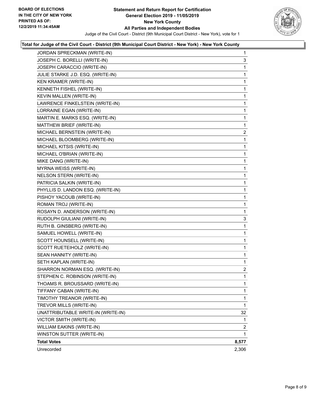

## **Total for Judge of the Civil Court - District (9th Municipal Court District - New York) - New York County**

| JORDAN SPRECKMAN (WRITE-IN)        | $\mathbf{1}$   |
|------------------------------------|----------------|
| JOSEPH C. BORELLI (WRITE-IN)       | 3              |
| JOSEPH CARACCIO (WRITE-IN)         | 1              |
| JULIE STARKE J.D. ESQ. (WRITE-IN)  | 1              |
| KEN KRAMER (WRITE-IN)              | 1              |
| KENNETH FISHEL (WRITE-IN)          | 1              |
| KEVIN MALLEN (WRITE-IN)            | 1              |
| LAWRENCE FINKELSTEIN (WRITE-IN)    | 1              |
| LORRAINE EGAN (WRITE-IN)           | 1              |
| MARTIN E. MARKS ESQ. (WRITE-IN)    | 1              |
| MATTHEW BRIEF (WRITE-IN)           | 1              |
| MICHAEL BERNSTEIN (WRITE-IN)       | $\overline{a}$ |
| MICHAEL BLOOMBERG (WRITE-IN)       | 1              |
| MICHAEL KITSIS (WRITE-IN)          | 1              |
| MICHAEL O'BRIAN (WRITE-IN)         | 1              |
| MIKE DANG (WRITE-IN)               | 1              |
| MYRNA WEISS (WRITE-IN)             | 1              |
| NELSON STERN (WRITE-IN)            | 1              |
| PATRICIA SALKIN (WRITE-IN)         | 1              |
| PHYLLIS D. LANDON ESQ. (WRITE-IN)  | 1              |
| PISHOY YACOUB (WRITE-IN)           | 1              |
| ROMAN TROJ (WRITE-IN)              | 1              |
| ROSAYN D. ANDERSON (WRITE-IN)      | 1              |
| RUDOLPH GIULIANI (WRITE-IN)        | 3              |
| RUTH B. GINSBERG (WRITE-IN)        | 1              |
| SAMUEL HOWELL (WRITE-IN)           | 1              |
| SCOTT HOUNSELL (WRITE-IN)          | 1              |
| SCOTT RUETEIHOLZ (WRITE-IN)        | 1              |
| SEAN HANNITY (WRITE-IN)            | 1              |
| SETH KAPLAN (WRITE-IN)             | 1              |
| SHARRON NORMAN ESQ. (WRITE-IN)     | $\overline{a}$ |
| STEPHEN C. ROBINSON (WRITE-IN)     | 1              |
| THOAMS R. BROUSSARD (WRITE-IN)     | 1              |
| TIFFANY CABAN (WRITE-IN)           | 1              |
| TIMOTHY TREANOR (WRITE-IN)         | 1              |
| TREVOR MILLS (WRITE-IN)            | 1              |
| UNATTRIBUTABLE WRITE-IN (WRITE-IN) | 32             |
| VICTOR SMITH (WRITE-IN)            | 1              |
| WILLIAM EAKINS (WRITE-IN)          | 2              |
| WINSTON SUTTER (WRITE-IN)          | 1              |
| <b>Total Votes</b>                 | 8,577          |
| Unrecorded                         | 2,306          |